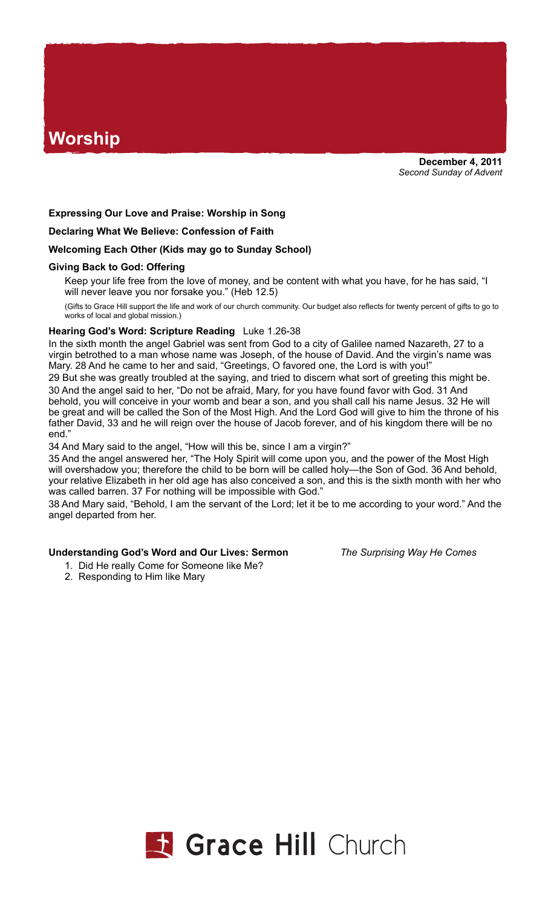# **Worship**

# **Expressing Our Love and Praise: Worship in Song**

**Declaring What We Believe: Confession of Faith**

### **Welcoming Each Other (Kids may go to Sunday School)**

### **Giving Back to God: Offering**

Keep your life free from the love of money, and be content with what you have, for he has said, "I will never leave you nor forsake you." (Heb 12.5)

(Gifts to Grace Hill support the life and work of our church community. Our budget also reflects for twenty percent of gifts to go to works of local and global mission.)

## **Hearing God's Word: Scripture Reading** Luke 1.26-38

In the sixth month the angel Gabriel was sent from God to a city of Galilee named Nazareth, 27 to a virgin betrothed to a man whose name was Joseph, of the house of David. And the virgin's name was Mary. 28 And he came to her and said, "Greetings, O favored one, the Lord is with you!"

29 But she was greatly troubled at the saying, and tried to discern what sort of greeting this might be. 30 And the angel said to her, "Do not be afraid, Mary, for you have found favor with God. 31 And behold, you will conceive in your womb and bear a son, and you shall call his name Jesus. 32 He will be great and will be called the Son of the Most High. And the Lord God will give to him the throne of his father David, 33 and he will reign over the house of Jacob forever, and of his kingdom there will be no end."

34 And Mary said to the angel, "How will this be, since I am a virgin?"

35 And the angel answered her, "The Holy Spirit will come upon you, and the power of the Most High will overshadow you; therefore the child to be born will be called holy—the Son of God. 36 And behold, your relative Elizabeth in her old age has also conceived a son, and this is the sixth month with her who was called barren. 37 For nothing will be impossible with God."

38 And Mary said, "Behold, I am the servant of the Lord; let it be to me according to your word." And the angel departed from her.

### **Understanding God's Word and Our Lives: Sermon** *The Surprising Way He Comes*

- 1. Did He really Come for Someone like Me?
- 2. Responding to Him like Mary